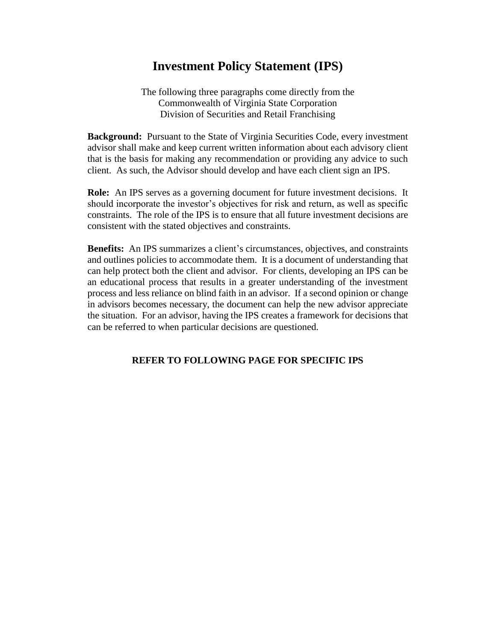## **Investment Policy Statement (IPS)**

The following three paragraphs come directly from the Commonwealth of Virginia State Corporation Division of Securities and Retail Franchising

**Background:** Pursuant to the State of Virginia Securities Code, every investment advisor shall make and keep current written information about each advisory client that is the basis for making any recommendation or providing any advice to such client. As such, the Advisor should develop and have each client sign an IPS.

**Role:** An IPS serves as a governing document for future investment decisions. It should incorporate the investor's objectives for risk and return, as well as specific constraints. The role of the IPS is to ensure that all future investment decisions are consistent with the stated objectives and constraints.

**Benefits:** An IPS summarizes a client's circumstances, objectives, and constraints and outlines policies to accommodate them. It is a document of understanding that can help protect both the client and advisor. For clients, developing an IPS can be an educational process that results in a greater understanding of the investment process and less reliance on blind faith in an advisor. If a second opinion or change in advisors becomes necessary, the document can help the new advisor appreciate the situation. For an advisor, having the IPS creates a framework for decisions that can be referred to when particular decisions are questioned.

## **REFER TO FOLLOWING PAGE FOR SPECIFIC IPS**